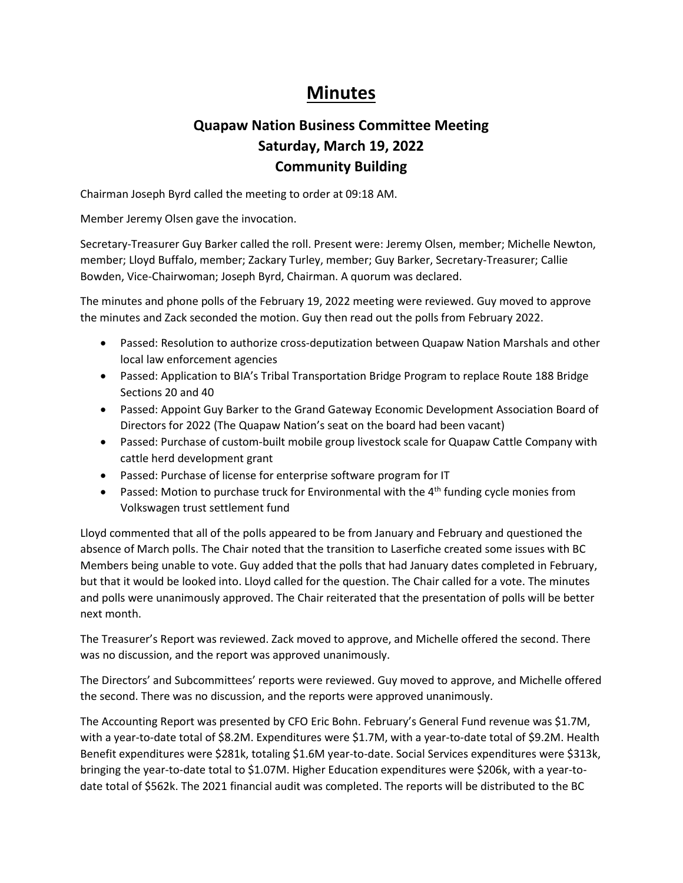## **Minutes**

## **Quapaw Nation Business Committee Meeting Saturday, March 19, 2022 Community Building**

Chairman Joseph Byrd called the meeting to order at 09:18 AM.

Member Jeremy Olsen gave the invocation.

Secretary-Treasurer Guy Barker called the roll. Present were: Jeremy Olsen, member; Michelle Newton, member; Lloyd Buffalo, member; Zackary Turley, member; Guy Barker, Secretary-Treasurer; Callie Bowden, Vice-Chairwoman; Joseph Byrd, Chairman. A quorum was declared.

The minutes and phone polls of the February 19, 2022 meeting were reviewed. Guy moved to approve the minutes and Zack seconded the motion. Guy then read out the polls from February 2022.

- Passed: Resolution to authorize cross-deputization between Quapaw Nation Marshals and other local law enforcement agencies
- Passed: Application to BIA's Tribal Transportation Bridge Program to replace Route 188 Bridge Sections 20 and 40
- Passed: Appoint Guy Barker to the Grand Gateway Economic Development Association Board of Directors for 2022 (The Quapaw Nation's seat on the board had been vacant)
- Passed: Purchase of custom-built mobile group livestock scale for Quapaw Cattle Company with cattle herd development grant
- Passed: Purchase of license for enterprise software program for IT
- Passed: Motion to purchase truck for Environmental with the  $4<sup>th</sup>$  funding cycle monies from Volkswagen trust settlement fund

Lloyd commented that all of the polls appeared to be from January and February and questioned the absence of March polls. The Chair noted that the transition to Laserfiche created some issues with BC Members being unable to vote. Guy added that the polls that had January dates completed in February, but that it would be looked into. Lloyd called for the question. The Chair called for a vote. The minutes and polls were unanimously approved. The Chair reiterated that the presentation of polls will be better next month.

The Treasurer's Report was reviewed. Zack moved to approve, and Michelle offered the second. There was no discussion, and the report was approved unanimously.

The Directors' and Subcommittees' reports were reviewed. Guy moved to approve, and Michelle offered the second. There was no discussion, and the reports were approved unanimously.

The Accounting Report was presented by CFO Eric Bohn. February's General Fund revenue was \$1.7M, with a year-to-date total of \$8.2M. Expenditures were \$1.7M, with a year-to-date total of \$9.2M. Health Benefit expenditures were \$281k, totaling \$1.6M year-to-date. Social Services expenditures were \$313k, bringing the year-to-date total to \$1.07M. Higher Education expenditures were \$206k, with a year-todate total of \$562k. The 2021 financial audit was completed. The reports will be distributed to the BC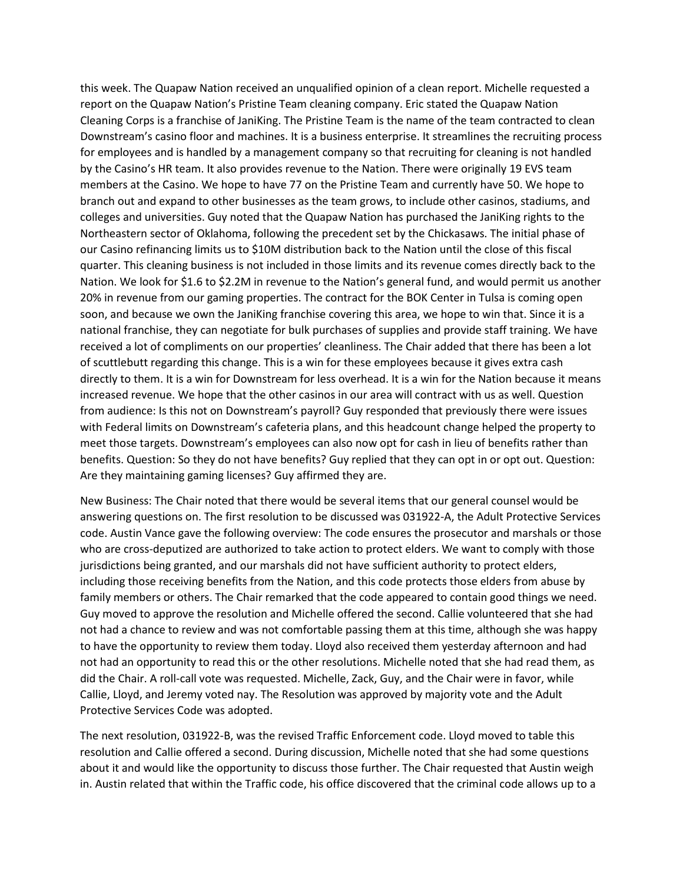this week. The Quapaw Nation received an unqualified opinion of a clean report. Michelle requested a report on the Quapaw Nation's Pristine Team cleaning company. Eric stated the Quapaw Nation Cleaning Corps is a franchise of JaniKing. The Pristine Team is the name of the team contracted to clean Downstream's casino floor and machines. It is a business enterprise. It streamlines the recruiting process for employees and is handled by a management company so that recruiting for cleaning is not handled by the Casino's HR team. It also provides revenue to the Nation. There were originally 19 EVS team members at the Casino. We hope to have 77 on the Pristine Team and currently have 50. We hope to branch out and expand to other businesses as the team grows, to include other casinos, stadiums, and colleges and universities. Guy noted that the Quapaw Nation has purchased the JaniKing rights to the Northeastern sector of Oklahoma, following the precedent set by the Chickasaws. The initial phase of our Casino refinancing limits us to \$10M distribution back to the Nation until the close of this fiscal quarter. This cleaning business is not included in those limits and its revenue comes directly back to the Nation. We look for \$1.6 to \$2.2M in revenue to the Nation's general fund, and would permit us another 20% in revenue from our gaming properties. The contract for the BOK Center in Tulsa is coming open soon, and because we own the JaniKing franchise covering this area, we hope to win that. Since it is a national franchise, they can negotiate for bulk purchases of supplies and provide staff training. We have received a lot of compliments on our properties' cleanliness. The Chair added that there has been a lot of scuttlebutt regarding this change. This is a win for these employees because it gives extra cash directly to them. It is a win for Downstream for less overhead. It is a win for the Nation because it means increased revenue. We hope that the other casinos in our area will contract with us as well. Question from audience: Is this not on Downstream's payroll? Guy responded that previously there were issues with Federal limits on Downstream's cafeteria plans, and this headcount change helped the property to meet those targets. Downstream's employees can also now opt for cash in lieu of benefits rather than benefits. Question: So they do not have benefits? Guy replied that they can opt in or opt out. Question: Are they maintaining gaming licenses? Guy affirmed they are.

New Business: The Chair noted that there would be several items that our general counsel would be answering questions on. The first resolution to be discussed was 031922-A, the Adult Protective Services code. Austin Vance gave the following overview: The code ensures the prosecutor and marshals or those who are cross-deputized are authorized to take action to protect elders. We want to comply with those jurisdictions being granted, and our marshals did not have sufficient authority to protect elders, including those receiving benefits from the Nation, and this code protects those elders from abuse by family members or others. The Chair remarked that the code appeared to contain good things we need. Guy moved to approve the resolution and Michelle offered the second. Callie volunteered that she had not had a chance to review and was not comfortable passing them at this time, although she was happy to have the opportunity to review them today. Lloyd also received them yesterday afternoon and had not had an opportunity to read this or the other resolutions. Michelle noted that she had read them, as did the Chair. A roll-call vote was requested. Michelle, Zack, Guy, and the Chair were in favor, while Callie, Lloyd, and Jeremy voted nay. The Resolution was approved by majority vote and the Adult Protective Services Code was adopted.

The next resolution, 031922-B, was the revised Traffic Enforcement code. Lloyd moved to table this resolution and Callie offered a second. During discussion, Michelle noted that she had some questions about it and would like the opportunity to discuss those further. The Chair requested that Austin weigh in. Austin related that within the Traffic code, his office discovered that the criminal code allows up to a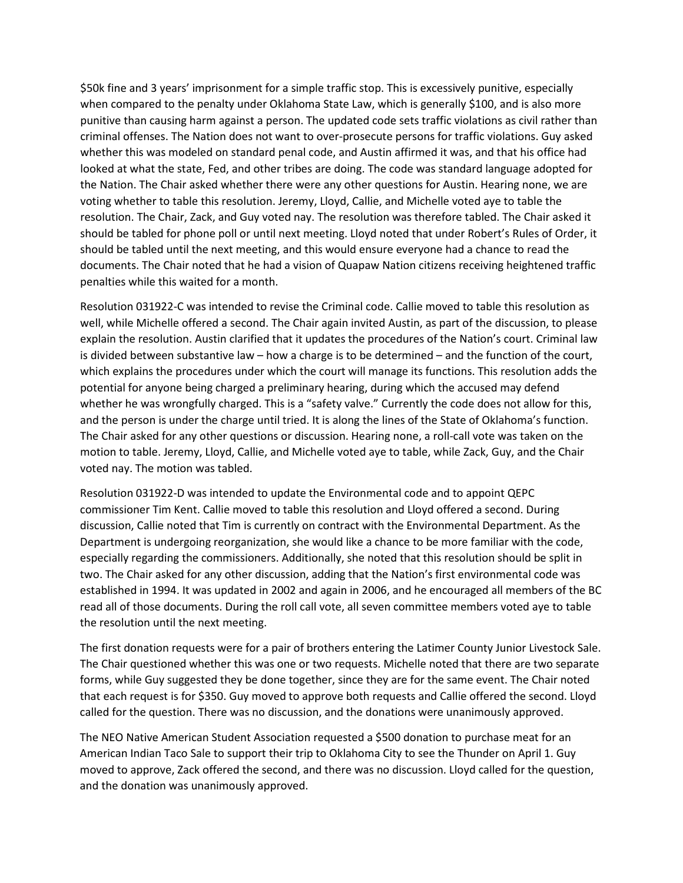\$50k fine and 3 years' imprisonment for a simple traffic stop. This is excessively punitive, especially when compared to the penalty under Oklahoma State Law, which is generally \$100, and is also more punitive than causing harm against a person. The updated code sets traffic violations as civil rather than criminal offenses. The Nation does not want to over-prosecute persons for traffic violations. Guy asked whether this was modeled on standard penal code, and Austin affirmed it was, and that his office had looked at what the state, Fed, and other tribes are doing. The code was standard language adopted for the Nation. The Chair asked whether there were any other questions for Austin. Hearing none, we are voting whether to table this resolution. Jeremy, Lloyd, Callie, and Michelle voted aye to table the resolution. The Chair, Zack, and Guy voted nay. The resolution was therefore tabled. The Chair asked it should be tabled for phone poll or until next meeting. Lloyd noted that under Robert's Rules of Order, it should be tabled until the next meeting, and this would ensure everyone had a chance to read the documents. The Chair noted that he had a vision of Quapaw Nation citizens receiving heightened traffic penalties while this waited for a month.

Resolution 031922-C was intended to revise the Criminal code. Callie moved to table this resolution as well, while Michelle offered a second. The Chair again invited Austin, as part of the discussion, to please explain the resolution. Austin clarified that it updates the procedures of the Nation's court. Criminal law is divided between substantive law – how a charge is to be determined – and the function of the court, which explains the procedures under which the court will manage its functions. This resolution adds the potential for anyone being charged a preliminary hearing, during which the accused may defend whether he was wrongfully charged. This is a "safety valve." Currently the code does not allow for this, and the person is under the charge until tried. It is along the lines of the State of Oklahoma's function. The Chair asked for any other questions or discussion. Hearing none, a roll-call vote was taken on the motion to table. Jeremy, Lloyd, Callie, and Michelle voted aye to table, while Zack, Guy, and the Chair voted nay. The motion was tabled.

Resolution 031922-D was intended to update the Environmental code and to appoint QEPC commissioner Tim Kent. Callie moved to table this resolution and Lloyd offered a second. During discussion, Callie noted that Tim is currently on contract with the Environmental Department. As the Department is undergoing reorganization, she would like a chance to be more familiar with the code, especially regarding the commissioners. Additionally, she noted that this resolution should be split in two. The Chair asked for any other discussion, adding that the Nation's first environmental code was established in 1994. It was updated in 2002 and again in 2006, and he encouraged all members of the BC read all of those documents. During the roll call vote, all seven committee members voted aye to table the resolution until the next meeting.

The first donation requests were for a pair of brothers entering the Latimer County Junior Livestock Sale. The Chair questioned whether this was one or two requests. Michelle noted that there are two separate forms, while Guy suggested they be done together, since they are for the same event. The Chair noted that each request is for \$350. Guy moved to approve both requests and Callie offered the second. Lloyd called for the question. There was no discussion, and the donations were unanimously approved.

The NEO Native American Student Association requested a \$500 donation to purchase meat for an American Indian Taco Sale to support their trip to Oklahoma City to see the Thunder on April 1. Guy moved to approve, Zack offered the second, and there was no discussion. Lloyd called for the question, and the donation was unanimously approved.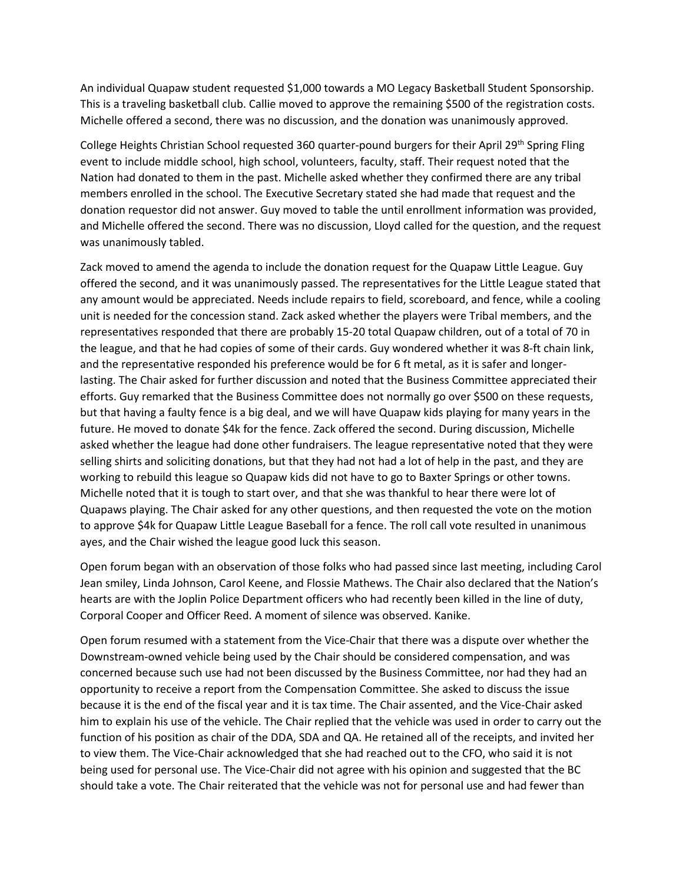An individual Quapaw student requested \$1,000 towards a MO Legacy Basketball Student Sponsorship. This is a traveling basketball club. Callie moved to approve the remaining \$500 of the registration costs. Michelle offered a second, there was no discussion, and the donation was unanimously approved.

College Heights Christian School requested 360 quarter-pound burgers for their April 29<sup>th</sup> Spring Fling event to include middle school, high school, volunteers, faculty, staff. Their request noted that the Nation had donated to them in the past. Michelle asked whether they confirmed there are any tribal members enrolled in the school. The Executive Secretary stated she had made that request and the donation requestor did not answer. Guy moved to table the until enrollment information was provided, and Michelle offered the second. There was no discussion, Lloyd called for the question, and the request was unanimously tabled.

Zack moved to amend the agenda to include the donation request for the Quapaw Little League. Guy offered the second, and it was unanimously passed. The representatives for the Little League stated that any amount would be appreciated. Needs include repairs to field, scoreboard, and fence, while a cooling unit is needed for the concession stand. Zack asked whether the players were Tribal members, and the representatives responded that there are probably 15-20 total Quapaw children, out of a total of 70 in the league, and that he had copies of some of their cards. Guy wondered whether it was 8-ft chain link, and the representative responded his preference would be for 6 ft metal, as it is safer and longerlasting. The Chair asked for further discussion and noted that the Business Committee appreciated their efforts. Guy remarked that the Business Committee does not normally go over \$500 on these requests, but that having a faulty fence is a big deal, and we will have Quapaw kids playing for many years in the future. He moved to donate \$4k for the fence. Zack offered the second. During discussion, Michelle asked whether the league had done other fundraisers. The league representative noted that they were selling shirts and soliciting donations, but that they had not had a lot of help in the past, and they are working to rebuild this league so Quapaw kids did not have to go to Baxter Springs or other towns. Michelle noted that it is tough to start over, and that she was thankful to hear there were lot of Quapaws playing. The Chair asked for any other questions, and then requested the vote on the motion to approve \$4k for Quapaw Little League Baseball for a fence. The roll call vote resulted in unanimous ayes, and the Chair wished the league good luck this season.

Open forum began with an observation of those folks who had passed since last meeting, including Carol Jean smiley, Linda Johnson, Carol Keene, and Flossie Mathews. The Chair also declared that the Nation's hearts are with the Joplin Police Department officers who had recently been killed in the line of duty, Corporal Cooper and Officer Reed. A moment of silence was observed. Kanike.

Open forum resumed with a statement from the Vice-Chair that there was a dispute over whether the Downstream-owned vehicle being used by the Chair should be considered compensation, and was concerned because such use had not been discussed by the Business Committee, nor had they had an opportunity to receive a report from the Compensation Committee. She asked to discuss the issue because it is the end of the fiscal year and it is tax time. The Chair assented, and the Vice-Chair asked him to explain his use of the vehicle. The Chair replied that the vehicle was used in order to carry out the function of his position as chair of the DDA, SDA and QA. He retained all of the receipts, and invited her to view them. The Vice-Chair acknowledged that she had reached out to the CFO, who said it is not being used for personal use. The Vice-Chair did not agree with his opinion and suggested that the BC should take a vote. The Chair reiterated that the vehicle was not for personal use and had fewer than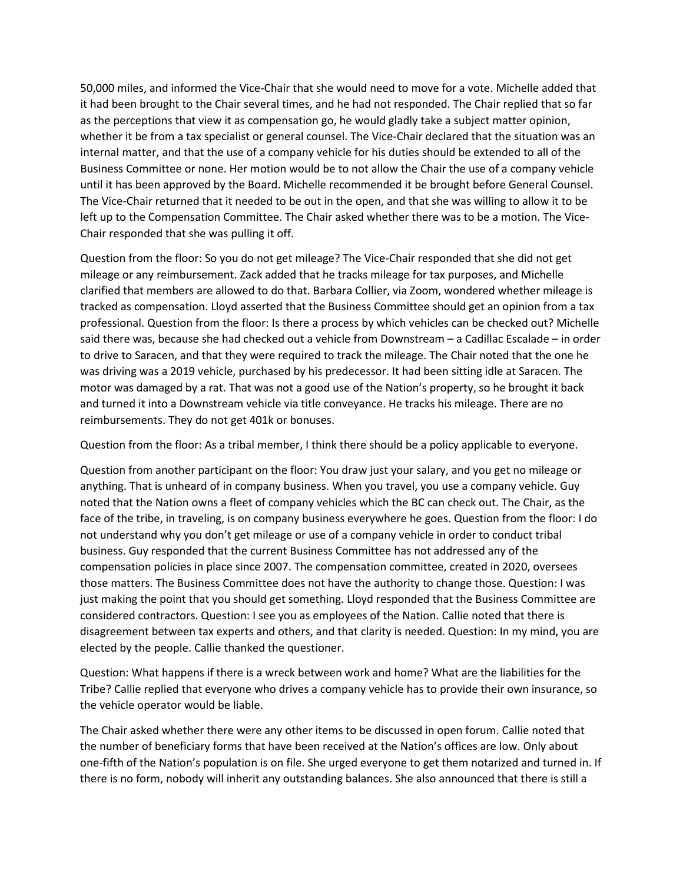50,000 miles, and informed the Vice-Chair that she would need to move for a vote. Michelle added that it had been brought to the Chair several times, and he had not responded. The Chair replied that so far as the perceptions that view it as compensation go, he would gladly take a subject matter opinion, whether it be from a tax specialist or general counsel. The Vice-Chair declared that the situation was an internal matter, and that the use of a company vehicle for his duties should be extended to all of the Business Committee or none. Her motion would be to not allow the Chair the use of a company vehicle until it has been approved by the Board. Michelle recommended it be brought before General Counsel. The Vice-Chair returned that it needed to be out in the open, and that she was willing to allow it to be left up to the Compensation Committee. The Chair asked whether there was to be a motion. The Vice-Chair responded that she was pulling it off.

Question from the floor: So you do not get mileage? The Vice-Chair responded that she did not get mileage or any reimbursement. Zack added that he tracks mileage for tax purposes, and Michelle clarified that members are allowed to do that. Barbara Collier, via Zoom, wondered whether mileage is tracked as compensation. Lloyd asserted that the Business Committee should get an opinion from a tax professional. Question from the floor: Is there a process by which vehicles can be checked out? Michelle said there was, because she had checked out a vehicle from Downstream – a Cadillac Escalade – in order to drive to Saracen, and that they were required to track the mileage. The Chair noted that the one he was driving was a 2019 vehicle, purchased by his predecessor. It had been sitting idle at Saracen. The motor was damaged by a rat. That was not a good use of the Nation's property, so he brought it back and turned it into a Downstream vehicle via title conveyance. He tracks his mileage. There are no reimbursements. They do not get 401k or bonuses.

Question from the floor: As a tribal member, I think there should be a policy applicable to everyone.

Question from another participant on the floor: You draw just your salary, and you get no mileage or anything. That is unheard of in company business. When you travel, you use a company vehicle. Guy noted that the Nation owns a fleet of company vehicles which the BC can check out. The Chair, as the face of the tribe, in traveling, is on company business everywhere he goes. Question from the floor: I do not understand why you don't get mileage or use of a company vehicle in order to conduct tribal business. Guy responded that the current Business Committee has not addressed any of the compensation policies in place since 2007. The compensation committee, created in 2020, oversees those matters. The Business Committee does not have the authority to change those. Question: I was just making the point that you should get something. Lloyd responded that the Business Committee are considered contractors. Question: I see you as employees of the Nation. Callie noted that there is disagreement between tax experts and others, and that clarity is needed. Question: In my mind, you are elected by the people. Callie thanked the questioner.

Question: What happens if there is a wreck between work and home? What are the liabilities for the Tribe? Callie replied that everyone who drives a company vehicle has to provide their own insurance, so the vehicle operator would be liable.

The Chair asked whether there were any other items to be discussed in open forum. Callie noted that the number of beneficiary forms that have been received at the Nation's offices are low. Only about one-fifth of the Nation's population is on file. She urged everyone to get them notarized and turned in. If there is no form, nobody will inherit any outstanding balances. She also announced that there is still a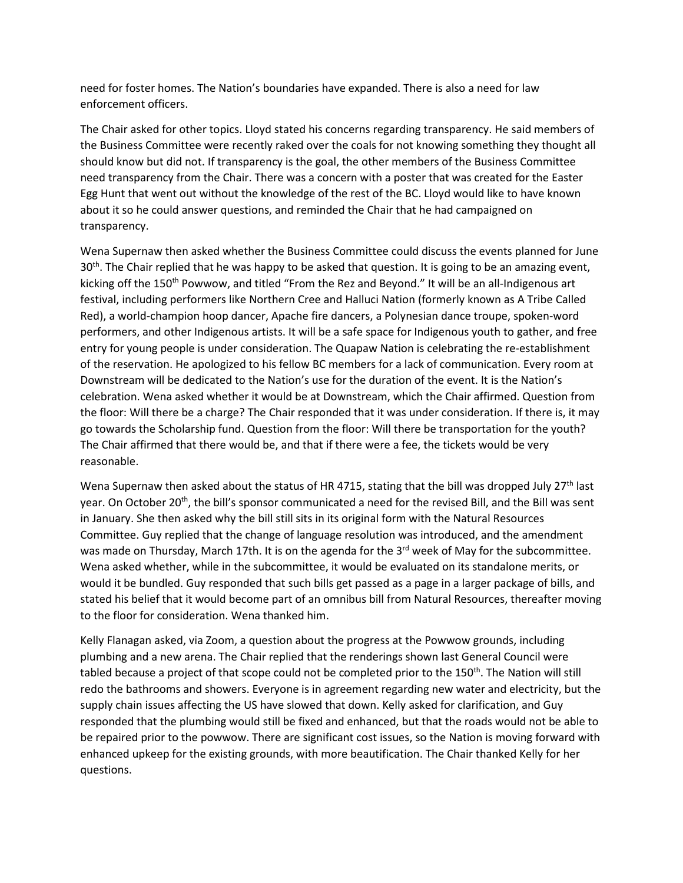need for foster homes. The Nation's boundaries have expanded. There is also a need for law enforcement officers.

The Chair asked for other topics. Lloyd stated his concerns regarding transparency. He said members of the Business Committee were recently raked over the coals for not knowing something they thought all should know but did not. If transparency is the goal, the other members of the Business Committee need transparency from the Chair. There was a concern with a poster that was created for the Easter Egg Hunt that went out without the knowledge of the rest of the BC. Lloyd would like to have known about it so he could answer questions, and reminded the Chair that he had campaigned on transparency.

Wena Supernaw then asked whether the Business Committee could discuss the events planned for June  $30<sup>th</sup>$ . The Chair replied that he was happy to be asked that question. It is going to be an amazing event, kicking off the 150<sup>th</sup> Powwow, and titled "From the Rez and Beyond." It will be an all-Indigenous art festival, including performers like Northern Cree and Halluci Nation (formerly known as A Tribe Called Red), a world-champion hoop dancer, Apache fire dancers, a Polynesian dance troupe, spoken-word performers, and other Indigenous artists. It will be a safe space for Indigenous youth to gather, and free entry for young people is under consideration. The Quapaw Nation is celebrating the re-establishment of the reservation. He apologized to his fellow BC members for a lack of communication. Every room at Downstream will be dedicated to the Nation's use for the duration of the event. It is the Nation's celebration. Wena asked whether it would be at Downstream, which the Chair affirmed. Question from the floor: Will there be a charge? The Chair responded that it was under consideration. If there is, it may go towards the Scholarship fund. Question from the floor: Will there be transportation for the youth? The Chair affirmed that there would be, and that if there were a fee, the tickets would be very reasonable.

Wena Supernaw then asked about the status of HR 4715, stating that the bill was dropped July  $27<sup>th</sup>$  last year. On October 20<sup>th</sup>, the bill's sponsor communicated a need for the revised Bill, and the Bill was sent in January. She then asked why the bill still sits in its original form with the Natural Resources Committee. Guy replied that the change of language resolution was introduced, and the amendment was made on Thursday, March 17th. It is on the agenda for the 3<sup>rd</sup> week of May for the subcommittee. Wena asked whether, while in the subcommittee, it would be evaluated on its standalone merits, or would it be bundled. Guy responded that such bills get passed as a page in a larger package of bills, and stated his belief that it would become part of an omnibus bill from Natural Resources, thereafter moving to the floor for consideration. Wena thanked him.

Kelly Flanagan asked, via Zoom, a question about the progress at the Powwow grounds, including plumbing and a new arena. The Chair replied that the renderings shown last General Council were tabled because a project of that scope could not be completed prior to the 150<sup>th</sup>. The Nation will still redo the bathrooms and showers. Everyone is in agreement regarding new water and electricity, but the supply chain issues affecting the US have slowed that down. Kelly asked for clarification, and Guy responded that the plumbing would still be fixed and enhanced, but that the roads would not be able to be repaired prior to the powwow. There are significant cost issues, so the Nation is moving forward with enhanced upkeep for the existing grounds, with more beautification. The Chair thanked Kelly for her questions.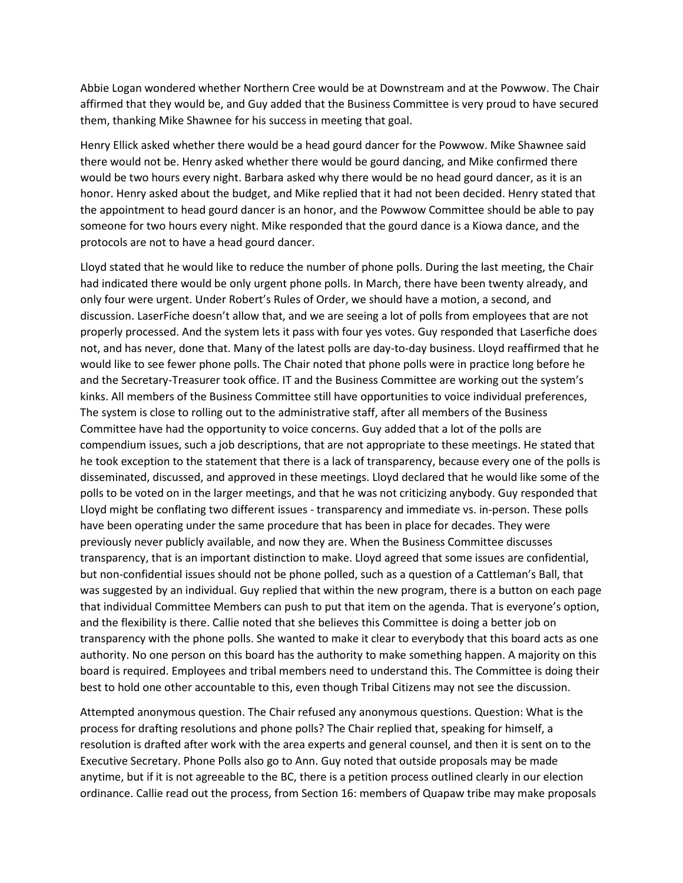Abbie Logan wondered whether Northern Cree would be at Downstream and at the Powwow. The Chair affirmed that they would be, and Guy added that the Business Committee is very proud to have secured them, thanking Mike Shawnee for his success in meeting that goal.

Henry Ellick asked whether there would be a head gourd dancer for the Powwow. Mike Shawnee said there would not be. Henry asked whether there would be gourd dancing, and Mike confirmed there would be two hours every night. Barbara asked why there would be no head gourd dancer, as it is an honor. Henry asked about the budget, and Mike replied that it had not been decided. Henry stated that the appointment to head gourd dancer is an honor, and the Powwow Committee should be able to pay someone for two hours every night. Mike responded that the gourd dance is a Kiowa dance, and the protocols are not to have a head gourd dancer.

Lloyd stated that he would like to reduce the number of phone polls. During the last meeting, the Chair had indicated there would be only urgent phone polls. In March, there have been twenty already, and only four were urgent. Under Robert's Rules of Order, we should have a motion, a second, and discussion. LaserFiche doesn't allow that, and we are seeing a lot of polls from employees that are not properly processed. And the system lets it pass with four yes votes. Guy responded that Laserfiche does not, and has never, done that. Many of the latest polls are day-to-day business. Lloyd reaffirmed that he would like to see fewer phone polls. The Chair noted that phone polls were in practice long before he and the Secretary-Treasurer took office. IT and the Business Committee are working out the system's kinks. All members of the Business Committee still have opportunities to voice individual preferences, The system is close to rolling out to the administrative staff, after all members of the Business Committee have had the opportunity to voice concerns. Guy added that a lot of the polls are compendium issues, such a job descriptions, that are not appropriate to these meetings. He stated that he took exception to the statement that there is a lack of transparency, because every one of the polls is disseminated, discussed, and approved in these meetings. Lloyd declared that he would like some of the polls to be voted on in the larger meetings, and that he was not criticizing anybody. Guy responded that Lloyd might be conflating two different issues - transparency and immediate vs. in-person. These polls have been operating under the same procedure that has been in place for decades. They were previously never publicly available, and now they are. When the Business Committee discusses transparency, that is an important distinction to make. Lloyd agreed that some issues are confidential, but non-confidential issues should not be phone polled, such as a question of a Cattleman's Ball, that was suggested by an individual. Guy replied that within the new program, there is a button on each page that individual Committee Members can push to put that item on the agenda. That is everyone's option, and the flexibility is there. Callie noted that she believes this Committee is doing a better job on transparency with the phone polls. She wanted to make it clear to everybody that this board acts as one authority. No one person on this board has the authority to make something happen. A majority on this board is required. Employees and tribal members need to understand this. The Committee is doing their best to hold one other accountable to this, even though Tribal Citizens may not see the discussion.

Attempted anonymous question. The Chair refused any anonymous questions. Question: What is the process for drafting resolutions and phone polls? The Chair replied that, speaking for himself, a resolution is drafted after work with the area experts and general counsel, and then it is sent on to the Executive Secretary. Phone Polls also go to Ann. Guy noted that outside proposals may be made anytime, but if it is not agreeable to the BC, there is a petition process outlined clearly in our election ordinance. Callie read out the process, from Section 16: members of Quapaw tribe may make proposals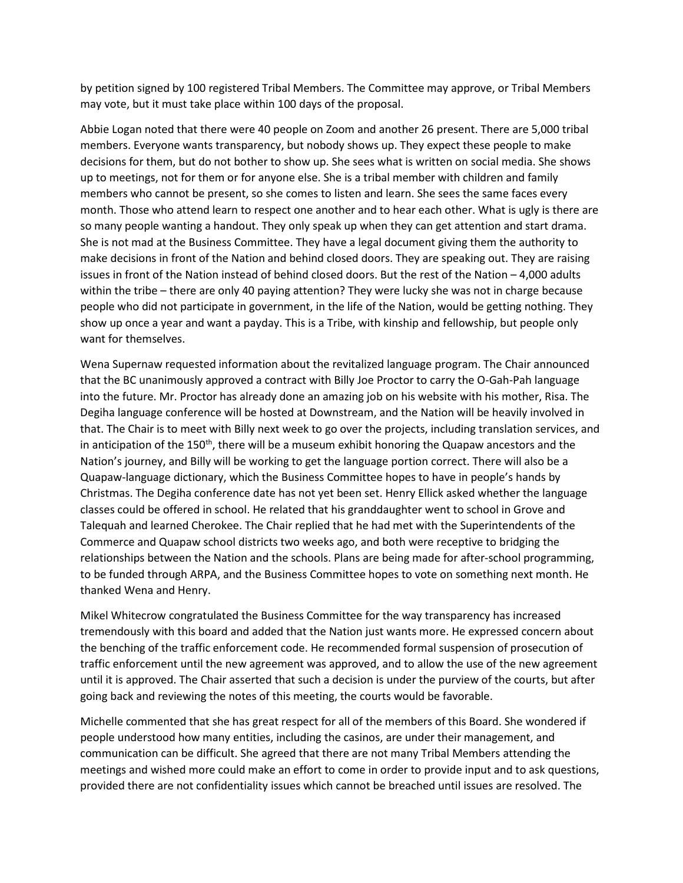by petition signed by 100 registered Tribal Members. The Committee may approve, or Tribal Members may vote, but it must take place within 100 days of the proposal.

Abbie Logan noted that there were 40 people on Zoom and another 26 present. There are 5,000 tribal members. Everyone wants transparency, but nobody shows up. They expect these people to make decisions for them, but do not bother to show up. She sees what is written on social media. She shows up to meetings, not for them or for anyone else. She is a tribal member with children and family members who cannot be present, so she comes to listen and learn. She sees the same faces every month. Those who attend learn to respect one another and to hear each other. What is ugly is there are so many people wanting a handout. They only speak up when they can get attention and start drama. She is not mad at the Business Committee. They have a legal document giving them the authority to make decisions in front of the Nation and behind closed doors. They are speaking out. They are raising issues in front of the Nation instead of behind closed doors. But the rest of the Nation – 4,000 adults within the tribe – there are only 40 paying attention? They were lucky she was not in charge because people who did not participate in government, in the life of the Nation, would be getting nothing. They show up once a year and want a payday. This is a Tribe, with kinship and fellowship, but people only want for themselves.

Wena Supernaw requested information about the revitalized language program. The Chair announced that the BC unanimously approved a contract with Billy Joe Proctor to carry the O-Gah-Pah language into the future. Mr. Proctor has already done an amazing job on his website with his mother, Risa. The Degiha language conference will be hosted at Downstream, and the Nation will be heavily involved in that. The Chair is to meet with Billy next week to go over the projects, including translation services, and in anticipation of the 150<sup>th</sup>, there will be a museum exhibit honoring the Quapaw ancestors and the Nation's journey, and Billy will be working to get the language portion correct. There will also be a Quapaw-language dictionary, which the Business Committee hopes to have in people's hands by Christmas. The Degiha conference date has not yet been set. Henry Ellick asked whether the language classes could be offered in school. He related that his granddaughter went to school in Grove and Talequah and learned Cherokee. The Chair replied that he had met with the Superintendents of the Commerce and Quapaw school districts two weeks ago, and both were receptive to bridging the relationships between the Nation and the schools. Plans are being made for after-school programming, to be funded through ARPA, and the Business Committee hopes to vote on something next month. He thanked Wena and Henry.

Mikel Whitecrow congratulated the Business Committee for the way transparency has increased tremendously with this board and added that the Nation just wants more. He expressed concern about the benching of the traffic enforcement code. He recommended formal suspension of prosecution of traffic enforcement until the new agreement was approved, and to allow the use of the new agreement until it is approved. The Chair asserted that such a decision is under the purview of the courts, but after going back and reviewing the notes of this meeting, the courts would be favorable.

Michelle commented that she has great respect for all of the members of this Board. She wondered if people understood how many entities, including the casinos, are under their management, and communication can be difficult. She agreed that there are not many Tribal Members attending the meetings and wished more could make an effort to come in order to provide input and to ask questions, provided there are not confidentiality issues which cannot be breached until issues are resolved. The